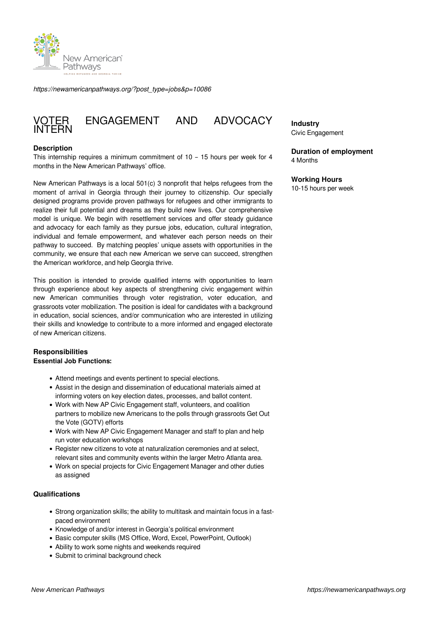

*https://newamericanpathways.org/?post\_type=jobs&p=10086*

# FNGAGEMENT AND ADVOCACY **VOTER**<br>INTERN

# **Description**

This internship requires a minimum commitment of 10 – 15 hours per week for 4 months in the New American Pathways' office.

New American Pathways is a local 501(c) 3 nonprofit that helps refugees from the moment of arrival in Georgia through their journey to citizenship. Our specially designed programs provide proven pathways for refugees and other immigrants to realize their full potential and dreams as they build new lives. Our comprehensive model is unique. We begin with resettlement services and offer steady guidance and advocacy for each family as they pursue jobs, education, cultural integration, individual and female empowerment, and whatever each person needs on their pathway to succeed. By matching peoples' unique assets with opportunities in the community, we ensure that each new American we serve can succeed, strengthen the American workforce, and help Georgia thrive.

This position is intended to provide qualified interns with opportunities to learn through experience about key aspects of strengthening civic engagement within new American communities through voter registration, voter education, and grassroots voter mobilization. The position is ideal for candidates with a background in education, social sciences, and/or communication who are interested in utilizing their skills and knowledge to contribute to a more informed and engaged electorate of new American citizens.

# **Responsibilities**

# **Essential Job Functions:**

- Attend meetings and events pertinent to special elections.
- Assist in the design and dissemination of educational materials aimed at informing voters on key election dates, processes, and ballot content.
- Work with New AP Civic Engagement staff, volunteers, and coalition partners to mobilize new Americans to the polls through grassroots Get Out the Vote (GOTV) efforts
- Work with New AP Civic Engagement Manager and staff to plan and help run voter education workshops
- Register new citizens to vote at naturalization ceremonies and at select, relevant sites and community events within the larger Metro Atlanta area.
- Work on special projects for Civic Engagement Manager and other duties as assigned

# **Qualifications**

- Strong organization skills; the ability to multitask and maintain focus in a fastpaced environment
- Knowledge of and/or interest in Georgia's political environment
- Basic computer skills (MS Office, Word, Excel, PowerPoint, Outlook)
- Ability to work some nights and weekends required
- Submit to criminal background check

**Industry** Civic Engagement

#### **Duration of employment** 4 Months

# **Working Hours**

10-15 hours per week